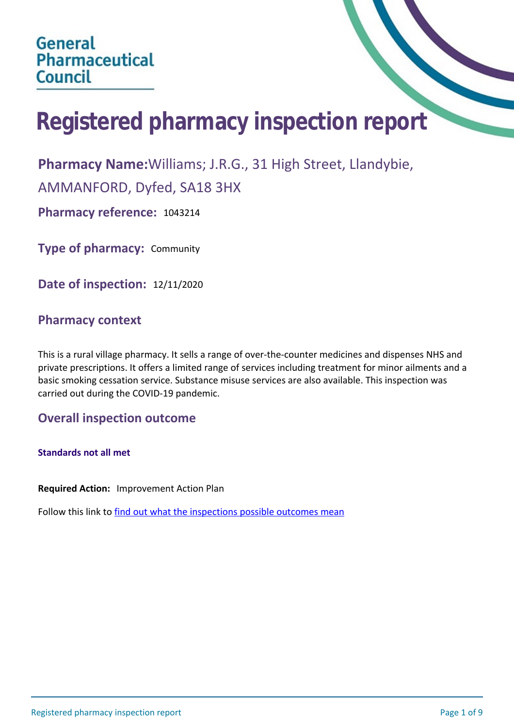# **Registered pharmacy inspection report**

**Pharmacy Name:**Williams; J.R.G., 31 High Street, Llandybie,

AMMANFORD, Dyfed, SA18 3HX

**Pharmacy reference:** 1043214

**Type of pharmacy:** Community

**Date of inspection:** 12/11/2020

## **Pharmacy context**

This is a rural village pharmacy. It sells a range of over-the-counter medicines and dispenses NHS and private prescriptions. It offers a limited range of services including treatment for minor ailments and a basic smoking cessation service. Substance misuse services are also available. This inspection was carried out during the COVID-19 pandemic.

## **Overall inspection outcome**

**Standards not all met**

**Required Action:** Improvement Action Plan

Follow this link to [find out what the inspections possible outcomes mean](#page-8-0)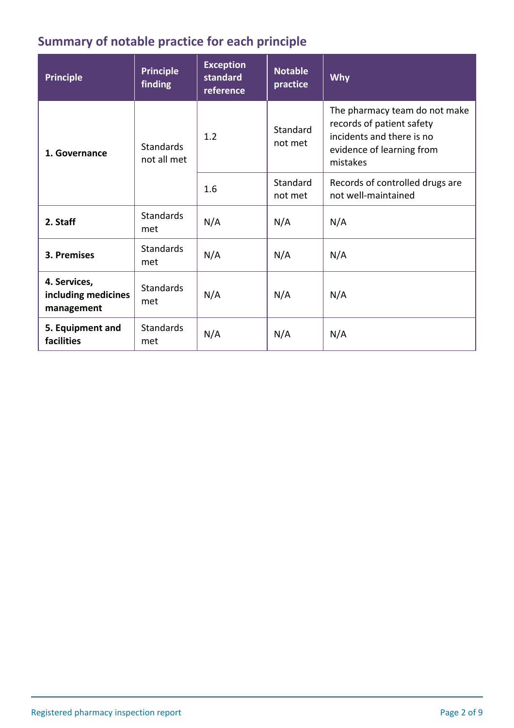## **Summary of notable practice for each principle**

| <b>Principle</b>                                  | <b>Principle</b><br>finding     | <b>Exception</b><br>standard<br>reference | <b>Notable</b><br>practice | <b>Why</b>                                                                                                                       |
|---------------------------------------------------|---------------------------------|-------------------------------------------|----------------------------|----------------------------------------------------------------------------------------------------------------------------------|
| 1. Governance                                     | <b>Standards</b><br>not all met | 1.2                                       | Standard<br>not met        | The pharmacy team do not make<br>records of patient safety<br>incidents and there is no<br>evidence of learning from<br>mistakes |
|                                                   |                                 | 1.6                                       | Standard<br>not met        | Records of controlled drugs are<br>not well-maintained                                                                           |
| 2. Staff                                          | <b>Standards</b><br>met         | N/A                                       | N/A                        | N/A                                                                                                                              |
| 3. Premises                                       | <b>Standards</b><br>met         | N/A                                       | N/A                        | N/A                                                                                                                              |
| 4. Services,<br>including medicines<br>management | <b>Standards</b><br>met         | N/A                                       | N/A                        | N/A                                                                                                                              |
| 5. Equipment and<br>facilities                    | <b>Standards</b><br>met         | N/A                                       | N/A                        | N/A                                                                                                                              |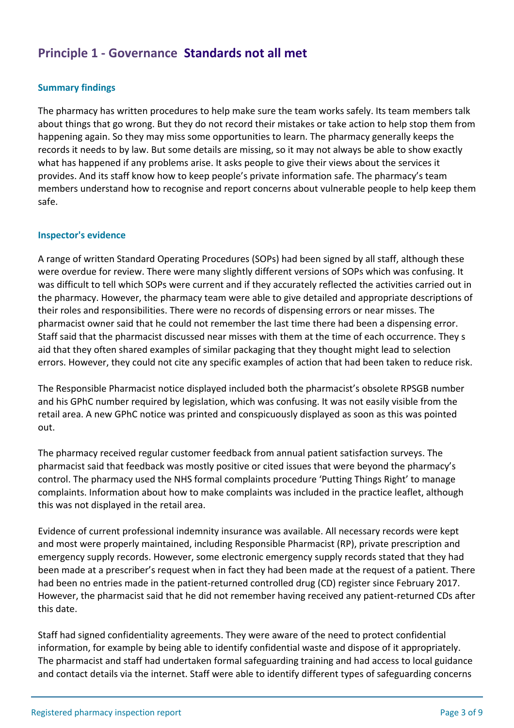## **Principle 1 - Governance Standards not all met**

#### **Summary findings**

The pharmacy has written procedures to help make sure the team works safely. Its team members talk about things that go wrong. But they do not record their mistakes or take action to help stop them from happening again. So they may miss some opportunities to learn. The pharmacy generally keeps the records it needs to by law. But some details are missing, so it may not always be able to show exactly what has happened if any problems arise. It asks people to give their views about the services it provides. And its staff know how to keep people's private information safe. The pharmacy's team members understand how to recognise and report concerns about vulnerable people to help keep them safe.

#### **Inspector's evidence**

A range of written Standard Operating Procedures (SOPs) had been signed by all staff, although these were overdue for review. There were many slightly different versions of SOPs which was confusing. It was difficult to tell which SOPs were current and if they accurately reflected the activities carried out in the pharmacy. However, the pharmacy team were able to give detailed and appropriate descriptions of their roles and responsibilities. There were no records of dispensing errors or near misses. The pharmacist owner said that he could not remember the last time there had been a dispensing error. Staff said that the pharmacist discussed near misses with them at the time of each occurrence. They s aid that they often shared examples of similar packaging that they thought might lead to selection errors. However, they could not cite any specific examples of action that had been taken to reduce risk.

The Responsible Pharmacist notice displayed included both the pharmacist's obsolete RPSGB number and his GPhC number required by legislation, which was confusing. It was not easily visible from the retail area. A new GPhC notice was printed and conspicuously displayed as soon as this was pointed out.

The pharmacy received regular customer feedback from annual patient satisfaction surveys. The pharmacist said that feedback was mostly positive or cited issues that were beyond the pharmacy's control. The pharmacy used the NHS formal complaints procedure 'Putting Things Right' to manage complaints. Information about how to make complaints was included in the practice leaflet, although this was not displayed in the retail area.

Evidence of current professional indemnity insurance was available. All necessary records were kept and most were properly maintained, including Responsible Pharmacist (RP), private prescription and emergency supply records. However, some electronic emergency supply records stated that they had been made at a prescriber's request when in fact they had been made at the request of a patient. There had been no entries made in the patient-returned controlled drug (CD) register since February 2017. However, the pharmacist said that he did not remember having received any patient-returned CDs after this date.

Staff had signed confidentiality agreements. They were aware of the need to protect confidential information, for example by being able to identify confidential waste and dispose of it appropriately. The pharmacist and staff had undertaken formal safeguarding training and had access to local guidance and contact details via the internet. Staff were able to identify different types of safeguarding concerns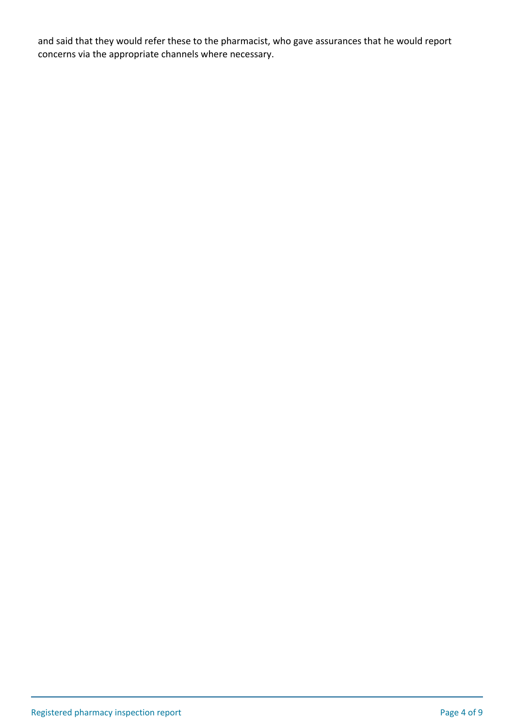and said that they would refer these to the pharmacist, who gave assurances that he would report concerns via the appropriate channels where necessary.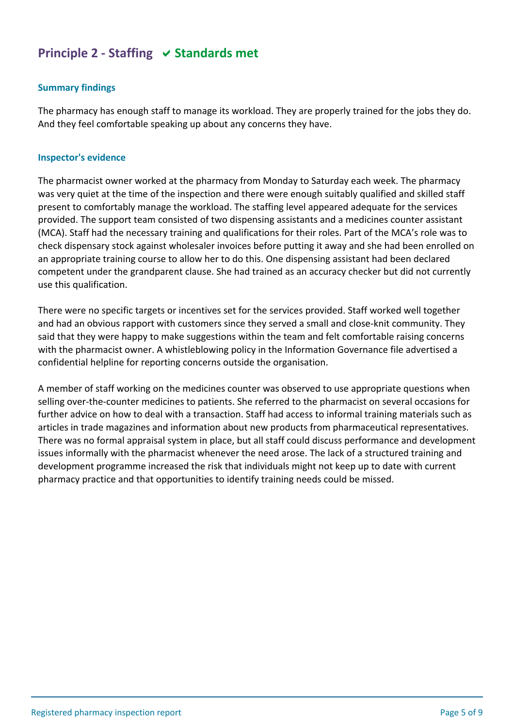## **Principle 2 - Staffing**  $\vee$  **Standards met**

## **Summary findings**

The pharmacy has enough staff to manage its workload. They are properly trained for the jobs they do. And they feel comfortable speaking up about any concerns they have.

#### **Inspector's evidence**

The pharmacist owner worked at the pharmacy from Monday to Saturday each week. The pharmacy was very quiet at the time of the inspection and there were enough suitably qualified and skilled staff present to comfortably manage the workload. The staffing level appeared adequate for the services provided. The support team consisted of two dispensing assistants and a medicines counter assistant (MCA). Staff had the necessary training and qualifications for their roles. Part of the MCA's role was to check dispensary stock against wholesaler invoices before putting it away and she had been enrolled on an appropriate training course to allow her to do this. One dispensing assistant had been declared competent under the grandparent clause. She had trained as an accuracy checker but did not currently use this qualification.

There were no specific targets or incentives set for the services provided. Staff worked well together and had an obvious rapport with customers since they served a small and close-knit community. They said that they were happy to make suggestions within the team and felt comfortable raising concerns with the pharmacist owner. A whistleblowing policy in the Information Governance file advertised a confidential helpline for reporting concerns outside the organisation.

A member of staff working on the medicines counter was observed to use appropriate questions when selling over-the-counter medicines to patients. She referred to the pharmacist on several occasions for further advice on how to deal with a transaction. Staff had access to informal training materials such as articles in trade magazines and information about new products from pharmaceutical representatives. There was no formal appraisal system in place, but all staff could discuss performance and development issues informally with the pharmacist whenever the need arose. The lack of a structured training and development programme increased the risk that individuals might not keep up to date with current pharmacy practice and that opportunities to identify training needs could be missed.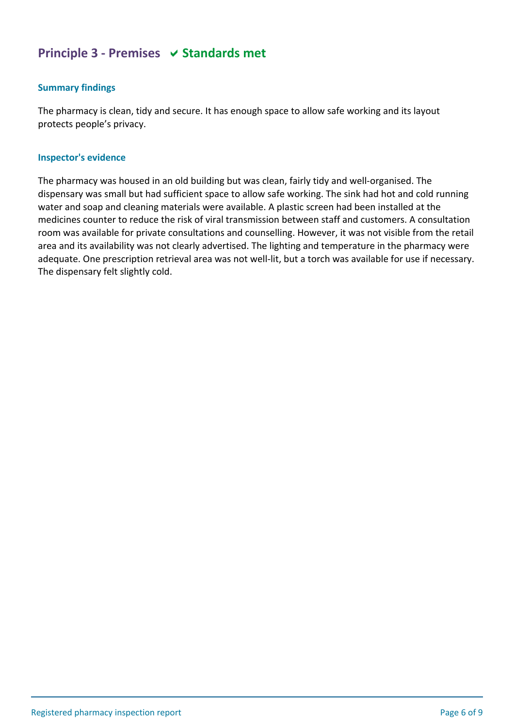## **Principle 3 - Premises**  $\vee$  **Standards met**

#### **Summary findings**

The pharmacy is clean, tidy and secure. It has enough space to allow safe working and its layout protects people's privacy.

#### **Inspector's evidence**

The pharmacy was housed in an old building but was clean, fairly tidy and well-organised. The dispensary was small but had sufficient space to allow safe working. The sink had hot and cold running water and soap and cleaning materials were available. A plastic screen had been installed at the medicines counter to reduce the risk of viral transmission between staff and customers. A consultation room was available for private consultations and counselling. However, it was not visible from the retail area and its availability was not clearly advertised. The lighting and temperature in the pharmacy were adequate. One prescription retrieval area was not well-lit, but a torch was available for use if necessary. The dispensary felt slightly cold.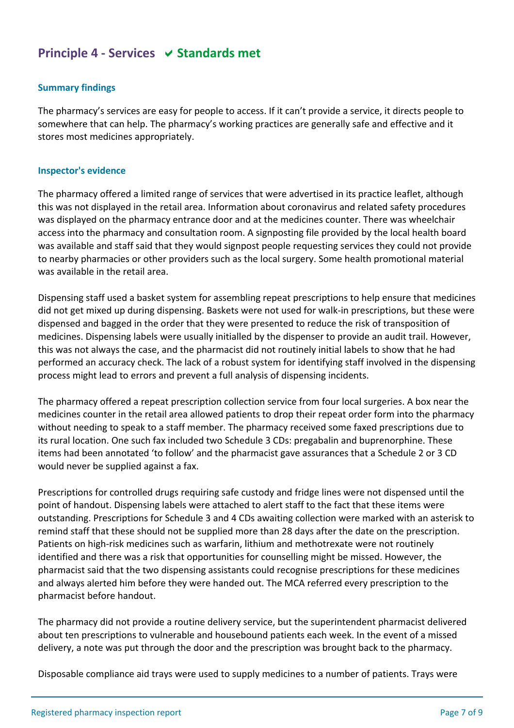## **Principle 4 - Services**  $\vee$  **Standards met**

## **Summary findings**

The pharmacy's services are easy for people to access. If it can't provide a service, it directs people to somewhere that can help. The pharmacy's working practices are generally safe and effective and it stores most medicines appropriately.

#### **Inspector's evidence**

The pharmacy offered a limited range of services that were advertised in its practice leaflet, although this was not displayed in the retail area. Information about coronavirus and related safety procedures was displayed on the pharmacy entrance door and at the medicines counter. There was wheelchair access into the pharmacy and consultation room. A signposting file provided by the local health board was available and staff said that they would signpost people requesting services they could not provide to nearby pharmacies or other providers such as the local surgery. Some health promotional material was available in the retail area.

Dispensing staff used a basket system for assembling repeat prescriptions to help ensure that medicines did not get mixed up during dispensing. Baskets were not used for walk-in prescriptions, but these were dispensed and bagged in the order that they were presented to reduce the risk of transposition of medicines. Dispensing labels were usually initialled by the dispenser to provide an audit trail. However, this was not always the case, and the pharmacist did not routinely initial labels to show that he had performed an accuracy check. The lack of a robust system for identifying staff involved in the dispensing process might lead to errors and prevent a full analysis of dispensing incidents.

The pharmacy offered a repeat prescription collection service from four local surgeries. A box near the medicines counter in the retail area allowed patients to drop their repeat order form into the pharmacy without needing to speak to a staff member. The pharmacy received some faxed prescriptions due to its rural location. One such fax included two Schedule 3 CDs: pregabalin and buprenorphine. These items had been annotated 'to follow' and the pharmacist gave assurances that a Schedule 2 or 3 CD would never be supplied against a fax.

Prescriptions for controlled drugs requiring safe custody and fridge lines were not dispensed until the point of handout. Dispensing labels were attached to alert staff to the fact that these items were outstanding. Prescriptions for Schedule 3 and 4 CDs awaiting collection were marked with an asterisk to remind staff that these should not be supplied more than 28 days after the date on the prescription. Patients on high-risk medicines such as warfarin, lithium and methotrexate were not routinely identified and there was a risk that opportunities for counselling might be missed. However, the pharmacist said that the two dispensing assistants could recognise prescriptions for these medicines and always alerted him before they were handed out. The MCA referred every prescription to the pharmacist before handout.

The pharmacy did not provide a routine delivery service, but the superintendent pharmacist delivered about ten prescriptions to vulnerable and housebound patients each week. In the event of a missed delivery, a note was put through the door and the prescription was brought back to the pharmacy.

Disposable compliance aid trays were used to supply medicines to a number of patients. Trays were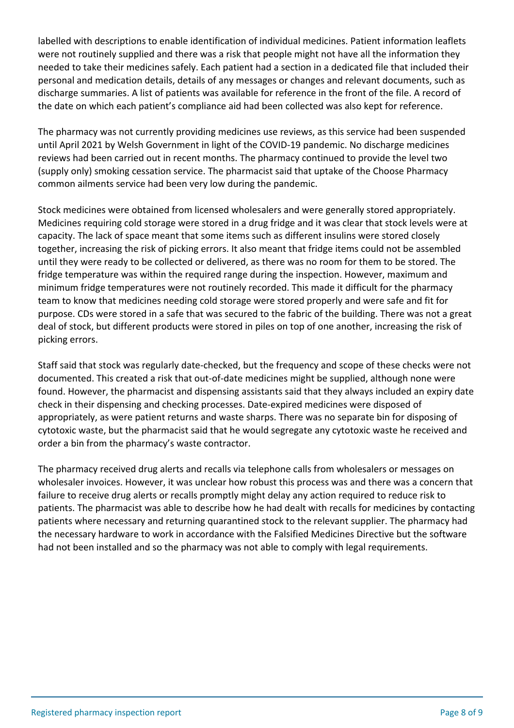labelled with descriptions to enable identification of individual medicines. Patient information leaflets were not routinely supplied and there was a risk that people might not have all the information they needed to take their medicines safely. Each patient had a section in a dedicated file that included their personal and medication details, details of any messages or changes and relevant documents, such as discharge summaries. A list of patients was available for reference in the front of the file. A record of the date on which each patient's compliance aid had been collected was also kept for reference.

The pharmacy was not currently providing medicines use reviews, as this service had been suspended until April 2021 by Welsh Government in light of the COVID-19 pandemic. No discharge medicines reviews had been carried out in recent months. The pharmacy continued to provide the level two (supply only) smoking cessation service. The pharmacist said that uptake of the Choose Pharmacy common ailments service had been very low during the pandemic.

Stock medicines were obtained from licensed wholesalers and were generally stored appropriately. Medicines requiring cold storage were stored in a drug fridge and it was clear that stock levels were at capacity. The lack of space meant that some items such as different insulins were stored closely together, increasing the risk of picking errors. It also meant that fridge items could not be assembled until they were ready to be collected or delivered, as there was no room for them to be stored. The fridge temperature was within the required range during the inspection. However, maximum and minimum fridge temperatures were not routinely recorded. This made it difficult for the pharmacy team to know that medicines needing cold storage were stored properly and were safe and fit for purpose. CDs were stored in a safe that was secured to the fabric of the building. There was not a great deal of stock, but different products were stored in piles on top of one another, increasing the risk of picking errors.

Staff said that stock was regularly date-checked, but the frequency and scope of these checks were not documented. This created a risk that out-of-date medicines might be supplied, although none were found. However, the pharmacist and dispensing assistants said that they always included an expiry date check in their dispensing and checking processes. Date-expired medicines were disposed of appropriately, as were patient returns and waste sharps. There was no separate bin for disposing of cytotoxic waste, but the pharmacist said that he would segregate any cytotoxic waste he received and order a bin from the pharmacy's waste contractor.

The pharmacy received drug alerts and recalls via telephone calls from wholesalers or messages on wholesaler invoices. However, it was unclear how robust this process was and there was a concern that failure to receive drug alerts or recalls promptly might delay any action required to reduce risk to patients. The pharmacist was able to describe how he had dealt with recalls for medicines by contacting patients where necessary and returning quarantined stock to the relevant supplier. The pharmacy had the necessary hardware to work in accordance with the Falsified Medicines Directive but the software had not been installed and so the pharmacy was not able to comply with legal requirements.